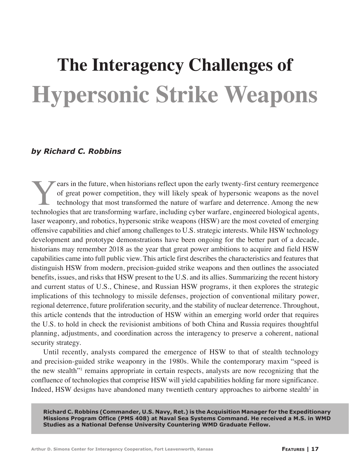# **The Interagency Challenges of Hypersonic Strike Weapons**

### *by Richard C. Robbins*

Fractury can be future, when historians reflect upon the early twenty-first century reemergence of great power competition, they will likely speak of hypersonic weapons as the novel technology that most transformed the nat of great power competition, they will likely speak of hypersonic weapons as the novel technology that most transformed the nature of warfare and deterrence. Among the new technologies that are transforming warfare, including cyber warfare, engineered biological agents, laser weaponry, and robotics, hypersonic strike weapons (HSW) are the most coveted of emerging offensive capabilities and chief among challenges to U.S. strategic interests. While HSW technology development and prototype demonstrations have been ongoing for the better part of a decade, historians may remember 2018 as the year that great power ambitions to acquire and field HSW capabilities came into full public view. This article first describes the characteristics and features that distinguish HSW from modern, precision-guided strike weapons and then outlines the associated benefits, issues, and risks that HSW present to the U.S. and its allies. Summarizing the recent history and current status of U.S., Chinese, and Russian HSW programs, it then explores the strategic implications of this technology to missile defenses, projection of conventional military power, regional deterrence, future proliferation security, and the stability of nuclear deterrence. Throughout, this article contends that the introduction of HSW within an emerging world order that requires the U.S. to hold in check the revisionist ambitions of both China and Russia requires thoughtful planning, adjustments, and coordination across the interagency to preserve a coherent, national security strategy.

Until recently, analysts compared the emergence of HSW to that of stealth technology and precision-guided strike weaponry in the 1980s. While the contemporary maxim "speed is the new stealth"<sup>1</sup> remains appropriate in certain respects, analysts are now recognizing that the confluence of technologies that comprise HSW will yield capabilities holding far more significance. Indeed, HSW designs have abandoned many twentieth century approaches to airborne stealth<sup>2</sup> in

**Richard C. Robbins (Commander, U.S. Navy, Ret.) is the Acquisition Manager for the Expeditionary Missions Program Office (PMS 408) at Naval Sea Systems Command. He received a M.S. in WMD Studies as a National Defense University Countering WMD Graduate Fellow.**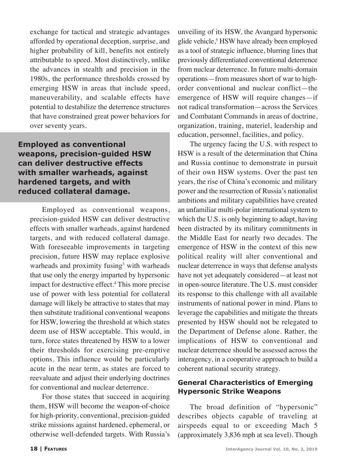exchange for tactical and strategic advantages afforded by operational deception, surprise, and higher probability of kill, benefits not entirely attributable to speed. Most distinctively, unlike the advances in stealth and precision in the 1980s, the performance thresholds crossed by emerging HSW in areas that include speed, maneuverability, and scalable effects have potential to destabilize the deterrence structures that have constrained great power behaviors for over seventy years.

**Employed as conventional weapons, precision-guided HSW can deliver destructive effects with smaller warheads, against hardened targets, and with reduced collateral damage.** 

Employed as conventional weapons, precision-guided HSW can deliver destructive effects with smaller warheads, against hardened targets, and with reduced collateral damage. With foreseeable improvements in targeting precision, future HSW may replace explosive warheads and proximity fusing<sup>3</sup> with warheads that use only the energy imparted by hypersonic impact for destructive effect.4 This more precise use of power with less potential for collateral damage will likely be attractive to states that may then substitute traditional conventional weapons for HSW, lowering the threshold at which states deem use of HSW acceptable. This would, in turn, force states threatened by HSW to a lower their thresholds for exercising pre-emptive options. This influence would be particularly acute in the near term, as states are forced to reevaluate and adjust their underlying doctrines for conventional and nuclear deterrence.

For those states that succeed in acquiring them, HSW will become the weapon-of-choice for high-priority, conventional, precision-guided strike missions against hardened, ephemeral, or otherwise well-defended targets. With Russia's

unveiling of its HSW, the Avangard hypersonic glide vehicle,<sup>5</sup> HSW have already been employed as a tool of strategic influence, blurring lines that previously differentiated conventional deterrence from nuclear deterrence. In future multi-domain operations—from measures short of war to highorder conventional and nuclear conflict—the emergence of HSW will require changes—if not radical transformation—across the Services and Combatant Commands in areas of doctrine, organization, training, materiel, leadership and education, personnel, facilities, and policy.

The urgency facing the U.S. with respect to HSW is a result of the determination that China and Russia continue to demonstrate in pursuit of their own HSW systems. Over the past ten years, the rise of China's economic and military power and the resurrection of Russia's nationalist ambitions and military capabilities have created an unfamiliar multi-polar international system to which the U.S. is only beginning to adapt, having been distracted by its military commitments in the Middle East for nearly two decades. The emergence of HSW in the context of this new political reality will alter conventional and nuclear deterrence in ways that defense analysts have not yet adequately considered—at least not in open-source literature. The U.S. must consider its response to this challenge with all available instruments of national power in mind. Plans to leverage the capabilities and mitigate the threats presented by HSW should not be relegated to the Department of Defense alone. Rather, the implications of HSW to conventional and nuclear deterrence should be assessed across the interagency, in a cooperative approach to build a coherent national security strategy.

### **General Characteristics of Emerging Hypersonic Strike Weapons**

The broad definition of "hypersonic" describes objects capable of traveling at airspeeds equal to or exceeding Mach 5 (approximately 3,836 mph at sea level). Though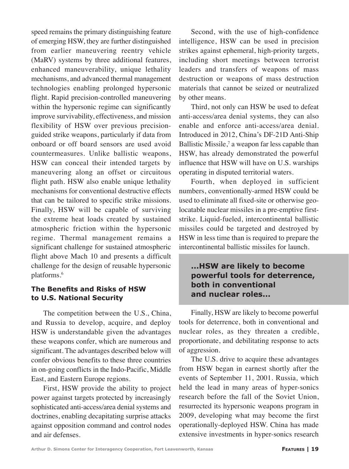speed remains the primary distinguishing feature of emerging HSW, they are further distinguished from earlier maneuvering reentry vehicle (MaRV) systems by three additional features, enhanced maneuverability, unique lethality mechanisms, and advanced thermal management technologies enabling prolonged hypersonic flight. Rapid precision-controlled maneuvering within the hypersonic regime can significantly improve survivability, effectiveness, and mission flexibility of HSW over previous precisionguided strike weapons, particularly if data from onboard or off board sensors are used avoid countermeasures. Unlike ballistic weapons, HSW can conceal their intended targets by maneuvering along an offset or circuitous flight path. HSW also enable unique lethality mechanisms for conventional destructive effects that can be tailored to specific strike missions. Finally, HSW will be capable of surviving the extreme heat loads created by sustained atmospheric friction within the hypersonic regime. Thermal management remains a significant challenge for sustained atmospheric flight above Mach 10 and presents a difficult challenge for the design of reusable hypersonic platforms.6

### **The Benefits and Risks of HSW to U.S. National Security**

The competition between the U.S., China, and Russia to develop, acquire, and deploy HSW is understandable given the advantages these weapons confer, which are numerous and significant. The advantages described below will confer obvious benefits to these three countries in on-going conflicts in the Indo-Pacific, Middle East, and Eastern Europe regions.

First, HSW provide the ability to project power against targets protected by increasingly sophisticated anti-access/area denial systems and doctrines, enabling decapitating surprise attacks against opposition command and control nodes and air defenses.

Second, with the use of high-confidence intelligence, HSW can be used in precision strikes against ephemeral, high-priority targets, including short meetings between terrorist leaders and transfers of weapons of mass destruction or weapons of mass destruction materials that cannot be seized or neutralized by other means.

Third, not only can HSW be used to defeat anti-access/area denial systems, they can also enable and enforce anti-access/area denial. Introduced in 2012, China's DF-21D Anti-Ship Ballistic Missile, $7$  a weapon far less capable than HSW, has already demonstrated the powerful influence that HSW will have on U.S. warships operating in disputed territorial waters.

Fourth, when deployed in sufficient numbers, conventionally-armed HSW could be used to eliminate all fixed-site or otherwise geolocatable nuclear missiles in a pre-emptive firststrike. Liquid-fueled, intercontinental ballistic missiles could be targeted and destroyed by HSW in less time than is required to prepare the intercontinental ballistic missiles for launch.

# **...HSW are likely to become powerful tools for deterrence, both in conventional and nuclear roles...**

Finally, HSW are likely to become powerful tools for deterrence, both in conventional and nuclear roles, as they threaten a credible, proportionate, and debilitating response to acts of aggression.

The U.S. drive to acquire these advantages from HSW began in earnest shortly after the events of September 11, 2001. Russia, which held the lead in many areas of hyper-sonics research before the fall of the Soviet Union, resurrected its hypersonic weapons program in 2009, developing what may become the first operationally-deployed HSW. China has made extensive investments in hyper-sonics research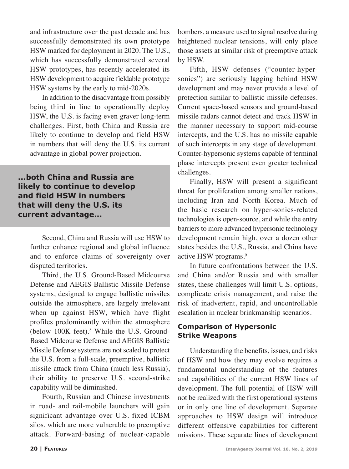and infrastructure over the past decade and has successfully demonstrated its own prototype HSW marked for deployment in 2020. The U.S., which has successfully demonstrated several HSW prototypes, has recently accelerated its HSW development to acquire fieldable prototype HSW systems by the early to mid-2020s.

In addition to the disadvantage from possibly being third in line to operationally deploy HSW, the U.S. is facing even graver long-term challenges. First, both China and Russia are likely to continue to develop and field HSW in numbers that will deny the U.S. its current advantage in global power projection.

**...both China and Russia are likely to continue to develop and field HSW in numbers that will deny the U.S. its current advantage...**

> Second, China and Russia will use HSW to further enhance regional and global influence and to enforce claims of sovereignty over disputed territories.

> Third, the U.S. Ground-Based Midcourse Defense and AEGIS Ballistic Missile Defense systems, designed to engage ballistic missiles outside the atmosphere, are largely irrelevant when up against HSW, which have flight profiles predominantly within the atmosphere (below 100K feet).<sup>8</sup> While the U.S. Ground-Based Midcourse Defense and AEGIS Ballistic Missile Defense systems are not scaled to protect the U.S. from a full-scale, preemptive, ballistic missile attack from China (much less Russia), their ability to preserve U.S. second-strike capability will be diminished.

> Fourth, Russian and Chinese investments in road- and rail-mobile launchers will gain significant advantage over U.S. fixed ICBM silos, which are more vulnerable to preemptive attack. Forward-basing of nuclear-capable

bombers, a measure used to signal resolve during heightened nuclear tensions, will only place those assets at similar risk of preemptive attack by HSW.

Fifth, HSW defenses ("counter-hypersonics") are seriously lagging behind HSW development and may never provide a level of protection similar to ballistic missile defenses. Current space-based sensors and ground-based missile radars cannot detect and track HSW in the manner necessary to support mid-course intercepts, and the U.S. has no missile capable of such intercepts in any stage of development. Counter-hypersonic systems capable of terminal phase intercepts present even greater technical challenges.

Finally, HSW will present a significant threat for proliferation among smaller nations, including Iran and North Korea. Much of the basic research on hyper-sonics-related technologies is open-source, and while the entry barriers to more advanced hypersonic technology development remain high, over a dozen other states besides the U.S., Russia, and China have active HSW programs.<sup>9</sup>

In future confrontations between the U.S. and China and/or Russia and with smaller states, these challenges will limit U.S. options, complicate crisis management, and raise the risk of inadvertent, rapid, and uncontrollable escalation in nuclear brinkmanship scenarios.

### **Comparison of Hypersonic Strike Weapons**

Understanding the benefits, issues, and risks of HSW and how they may evolve requires a fundamental understanding of the features and capabilities of the current HSW lines of development. The full potential of HSW will not be realized with the first operational systems or in only one line of development. Separate approaches to HSW design will introduce different offensive capabilities for different missions. These separate lines of development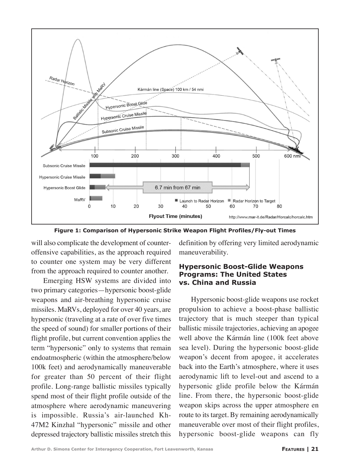

**Figure 1: Comparison of Hypersonic Strike Weapon Flight Profiles/Fly-out Times**

will also complicate the development of counteroffensive capabilities, as the approach required to counter one system may be very different from the approach required to counter another.

Emerging HSW systems are divided into two primary categories—hypersonic boost-glide weapons and air-breathing hypersonic cruise missiles. MaRVs, deployed for over 40 years, are hypersonic (traveling at a rate of over five times the speed of sound) for smaller portions of their flight profile, but current convention applies the term "hypersonic" only to systems that remain endoatmospheric (within the atmosphere/below 100k feet) and aerodynamically maneuverable for greater than 50 percent of their flight profile. Long-range ballistic missiles typically spend most of their flight profile outside of the atmosphere where aerodynamic maneuvering is impossible. Russia's air-launched Kh-47M2 Kinzhal "hypersonic" missile and other depressed trajectory ballistic missiles stretch this

definition by offering very limited aerodynamic maneuverability.

#### **Hypersonic Boost-Glide Weapons Programs: The United States vs. China and Russia**

Hypersonic boost-glide weapons use rocket propulsion to achieve a boost-phase ballistic trajectory that is much steeper than typical ballistic missile trajectories, achieving an apogee well above the Kármán line (100k feet above sea level). During the hypersonic boost-glide weapon's decent from apogee, it accelerates back into the Earth's atmosphere, where it uses aerodynamic lift to level-out and ascend to a hypersonic glide profile below the Kármán line. From there, the hypersonic boost-glide weapon skips across the upper atmosphere en route to its target. By remaining aerodynamically maneuverable over most of their flight profiles, hypersonic boost-glide weapons can fly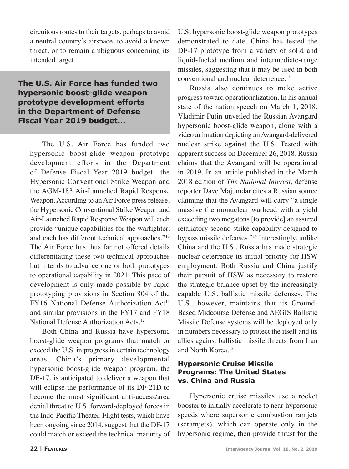circuitous routes to their targets, perhaps to avoid a neutral country's airspace, to avoid a known threat, or to remain ambiguous concerning its intended target.

# **The U.S. Air Force has funded two hypersonic boost-glide weapon prototype development efforts in the Department of Defense Fiscal Year 2019 budget...**

The U.S. Air Force has funded two hypersonic boost-glide weapon prototype development efforts in the Department of Defense Fiscal Year 2019 budget—the Hypersonic Conventional Strike Weapon and the AGM-183 Air-Launched Rapid Response Weapon. According to an Air Force press release, the Hypersonic Conventional Strike Weapon and Air-Launched Rapid Response Weapon will each provide "unique capabilities for the warfighter, and each has different technical approaches."10 The Air Force has thus far not offered details differentiating these two technical approaches but intends to advance one or both prototypes to operational capability in 2021. This pace of development is only made possible by rapid prototyping provisions in Section 804 of the  $FY16$  National Defense Authorization Act<sup>11</sup> and similar provisions in the FY17 and FY18 National Defense Authorization Acts.12

Both China and Russia have hypersonic boost-glide weapon programs that match or exceed the U.S. in progress in certain technology areas. China's primary developmental hypersonic boost-glide weapon program, the DF-17, is anticipated to deliver a weapon that will eclipse the performance of its DF-21D to become the most significant anti-access/area denial threat to U.S. forward-deployed forces in the Indo-Pacific Theater. Flight tests, which have been ongoing since 2014, suggest that the DF-17 could match or exceed the technical maturity of U.S. hypersonic boost-glide weapon prototypes demonstrated to date. China has tested the DF-17 prototype from a variety of solid and liquid-fueled medium and intermediate-range missiles, suggesting that it may be used in both conventional and nuclear deterrence.<sup>13</sup>

Russia also continues to make active progress toward operationalization. In his annual state of the nation speech on March 1, 2018, Vladimir Putin unveiled the Russian Avangard hypersonic boost-glide weapon, along with a video animation depicting an Avangard-delivered nuclear strike against the U.S. Tested with apparent success on December 26, 2018, Russia claims that the Avangard will be operational in 2019. In an article published in the March 2018 edition of *The National Interest*, defense reporter Dave Majumdar cites a Russian source claiming that the Avangard will carry "a single massive thermonuclear warhead with a yield exceeding two megatons [to provide] an assured retaliatory second-strike capability designed to bypass missile defenses."14 Interestingly, unlike China and the U.S., Russia has made strategic nuclear deterrence its initial priority for HSW employment. Both Russia and China justify their pursuit of HSW as necessary to restore the strategic balance upset by the increasingly capable U.S. ballistic missile defenses. The U.S., however, maintains that its Ground-Based Midcourse Defense and AEGIS Ballistic Missile Defense systems will be deployed only in numbers necessary to protect the itself and its allies against ballistic missile threats from Iran and North Korea.15

## **Hypersonic Cruise Missile Programs: The United States vs. China and Russia**

Hypersonic cruise missiles use a rocket booster to initially accelerate to near-hypersonic speeds where supersonic combustion ramjets (scramjets), which can operate only in the hypersonic regime, then provide thrust for the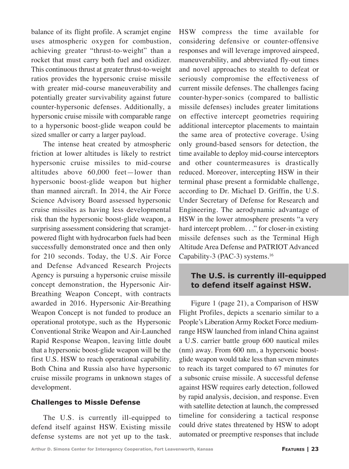balance of its flight profile. A scramjet engine uses atmospheric oxygen for combustion, achieving greater "thrust-to-weight" than a rocket that must carry both fuel and oxidizer. This continuous thrust at greater thrust-to-weight ratios provides the hypersonic cruise missile with greater mid-course maneuverability and potentially greater survivability against future counter-hypersonic defenses. Additionally, a hypersonic cruise missile with comparable range to a hypersonic boost-glide weapon could be sized smaller or carry a larger payload.

The intense heat created by atmospheric friction at lower altitudes is likely to restrict hypersonic cruise missiles to mid-course altitudes above 60,000 feet—lower than hypersonic boost-glide weapon but higher than manned aircraft. In 2014, the Air Force Science Advisory Board assessed hypersonic cruise missiles as having less developmental risk than the hypersonic boost-glide weapon, a surprising assessment considering that scramjetpowered flight with hydrocarbon fuels had been successfully demonstrated once and then only for 210 seconds. Today, the U.S. Air Force and Defense Advanced Research Projects Agency is pursuing a hypersonic cruise missile concept demonstration, the Hypersonic Air-Breathing Weapon Concept, with contracts awarded in 2016. Hypersonic Air-Breathing Weapon Concept is not funded to produce an operational prototype, such as the Hypersonic Conventional Strike Weapon and Air-Launched Rapid Response Weapon, leaving little doubt that a hypersonic boost-glide weapon will be the first U.S. HSW to reach operational capability. Both China and Russia also have hypersonic cruise missile programs in unknown stages of development.

#### **Challenges to Missle Defense**

The U.S. is currently ill-equipped to defend itself against HSW. Existing missile defense systems are not yet up to the task. HSW compress the time available for considering defensive or counter-offensive responses and will leverage improved airspeed, maneuverability, and abbreviated fly-out times and novel approaches to stealth to defeat or seriously compromise the effectiveness of current missile defenses. The challenges facing counter-hyper-sonics (compared to ballistic missile defenses) includes greater limitations on effective intercept geometries requiring additional interceptor placements to maintain the same area of protective coverage. Using only ground-based sensors for detection, the time available to deploy mid-course interceptors and other countermeasures is drastically reduced. Moreover, intercepting HSW in their terminal phase present a formidable challenge, according to Dr. Michael D. Griffin, the U.S. Under Secretary of Defense for Research and Engineering. The aerodynamic advantage of HSW in the lower atmosphere presents "a very hard intercept problem. . ." for closer-in existing missile defenses such as the Terminal High Altitude Area Defense and PATRIOT Advanced Capability-3 (PAC-3) systems.<sup>16</sup>

# **The U.S. is currently ill-equipped to defend itself against HSW.**

Figure 1 (page 21), a Comparison of HSW Flight Profiles, depicts a scenario similar to a People's Liberation Army Rocket Force mediumrange HSW launched from inland China against a U.S. carrier battle group 600 nautical miles (nm) away. From 600 nm, a hypersonic boostglide weapon would take less than seven minutes to reach its target compared to 67 minutes for a subsonic cruise missile. A successful defense against HSW requires early detection, followed by rapid analysis, decision, and response. Even with satellite detection at launch, the compressed timeline for considering a tactical response could drive states threatened by HSW to adopt automated or preemptive responses that include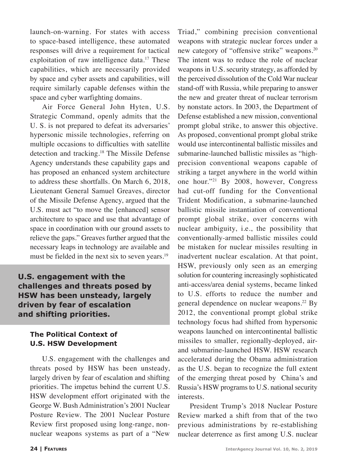launch-on-warning. For states with access to space-based intelligence, these automated responses will drive a requirement for tactical exploitation of raw intelligence data.<sup>17</sup> These capabilities, which are necessarily provided by space and cyber assets and capabilities, will require similarly capable defenses within the space and cyber warfighting domains.

Air Force General John Hyten, U.S. Strategic Command, openly admits that the U. S. is not prepared to defeat its adversaries' hypersonic missile technologies, referring on multiple occasions to difficulties with satellite detection and tracking.18 The Missile Defense Agency understands these capability gaps and has proposed an enhanced system architecture to address these shortfalls. On March 6, 2018, Lieutenant General Samuel Greaves, director of the Missile Defense Agency, argued that the U.S. must act "to move the [enhanced] sensor architecture to space and use that advantage of space in coordination with our ground assets to relieve the gaps." Greaves further argued that the necessary leaps in technology are available and must be fielded in the next six to seven years.<sup>19</sup>

**U.S. engagement with the challenges and threats posed by HSW has been unsteady, largely driven by fear of escalation and shifting priorities.**

#### **The Political Context of U.S. HSW Development**

U.S. engagement with the challenges and threats posed by HSW has been unsteady, largely driven by fear of escalation and shifting priorities. The impetus behind the current U.S. HSW development effort originated with the George W. Bush Administration's 2001 Nuclear Posture Review. The 2001 Nuclear Posture Review first proposed using long-range, nonnuclear weapons systems as part of a "New Triad," combining precision conventional weapons with strategic nuclear forces under a new category of "offensive strike" weapons.20 The intent was to reduce the role of nuclear weapons in U.S. security strategy, as afforded by the perceived dissolution of the Cold War nuclear stand-off with Russia, while preparing to answer the new and greater threat of nuclear terrorism by nonstate actors. In 2003, the Department of Defense established a new mission, conventional prompt global strike, to answer this objective. As proposed, conventional prompt global strike would use intercontinental ballistic missiles and submarine-launched ballistic missiles as "highprecision conventional weapons capable of striking a target anywhere in the world within one hour."21 By 2008, however, Congress had cut-off funding for the Conventional Trident Modification, a submarine-launched ballistic missile instantiation of conventional prompt global strike, over concerns with nuclear ambiguity, i.e., the possibility that conventionally-armed ballistic missiles could be mistaken for nuclear missiles resulting in inadvertent nuclear escalation. At that point, HSW, previously only seen as an emerging solution for countering increasingly sophisticated anti-access/area denial systems, became linked to U.S. efforts to reduce the number and general dependence on nuclear weapons.<sup>22</sup> By 2012, the conventional prompt global strike technology focus had shifted from hypersonic weapons launched on intercontinental ballistic missiles to smaller, regionally-deployed, airand submarine-launched HSW. HSW research accelerated during the Obama administration as the U.S. began to recognize the full extent of the emerging threat posed by China's and Russia's HSW programs to U.S. national security interests.

President Trump's 2018 Nuclear Posture Review marked a shift from that of the two previous administrations by re-establishing nuclear deterrence as first among U.S. nuclear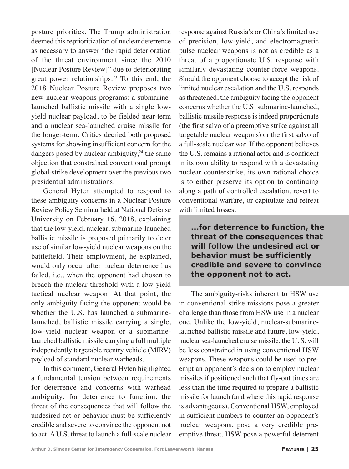posture priorities. The Trump administration deemed this reprioritization of nuclear deterrence as necessary to answer "the rapid deterioration of the threat environment since the 2010 [Nuclear Posture Review]" due to deteriorating great power relationships.<sup>23</sup> To this end, the 2018 Nuclear Posture Review proposes two new nuclear weapons programs: a submarinelaunched ballistic missile with a single lowyield nuclear payload, to be fielded near-term and a nuclear sea-launched cruise missile for the longer-term. Critics decried both proposed systems for showing insufficient concern for the dangers posed by nuclear ambiguity,<sup>24</sup> the same objection that constrained conventional prompt global-strike development over the previous two presidential administrations.

General Hyten attempted to respond to these ambiguity concerns in a Nuclear Posture Review Policy Seminar held at National Defense University on February 16, 2018, explaining that the low-yield, nuclear, submarine-launched ballistic missile is proposed primarily to deter use of similar low-yield nuclear weapons on the battlefield. Their employment, he explained, would only occur after nuclear deterrence has failed, i.e., when the opponent had chosen to breach the nuclear threshold with a low-yield tactical nuclear weapon. At that point, the only ambiguity facing the opponent would be whether the U.S. has launched a submarinelaunched, ballistic missile carrying a single, low-yield nuclear weapon or a submarinelaunched ballistic missile carrying a full multiple independently targetable reentry vehicle (MIRV) payload of standard nuclear warheads.

In this comment, General Hyten highlighted a fundamental tension between requirements for deterrence and concerns with warhead ambiguity: for deterrence to function, the threat of the consequences that will follow the undesired act or behavior must be sufficiently credible and severe to convince the opponent not to act. A U.S. threat to launch a full-scale nuclear response against Russia's or China's limited use of precision, low-yield, and electromagnetic pulse nuclear weapons is not as credible as a threat of a proportionate U.S. response with similarly devastating counter-force weapons. Should the opponent choose to accept the risk of limited nuclear escalation and the U.S. responds as threatened, the ambiguity facing the opponent concerns whether the U.S. submarine-launched, ballistic missile response is indeed proportionate (the first salvo of a preemptive strike against all targetable nuclear weapons) or the first salvo of a full-scale nuclear war. If the opponent believes the U.S. remains a rational actor and is confident in its own ability to respond with a devastating nuclear counterstrike, its own rational choice is to either preserve its option to continuing along a path of controlled escalation, revert to conventional warfare, or capitulate and retreat with limited losses.

**...for deterrence to function, the threat of the consequences that will follow the undesired act or behavior must be sufficiently credible and severe to convince the opponent not to act.**

The ambiguity-risks inherent to HSW use in conventional strike missions pose a greater challenge than those from HSW use in a nuclear one. Unlike the low-yield, nuclear-submarinelaunched ballistic missile and future, low-yield, nuclear sea-launched cruise missile, the U. S. will be less constrained in using conventional HSW weapons. These weapons could be used to preempt an opponent's decision to employ nuclear missiles if positioned such that fly-out times are less than the time required to prepare a ballistic missile for launch (and where this rapid response is advantageous). Conventional HSW, employed in sufficient numbers to counter an opponent's nuclear weapons, pose a very credible preemptive threat. HSW pose a powerful deterrent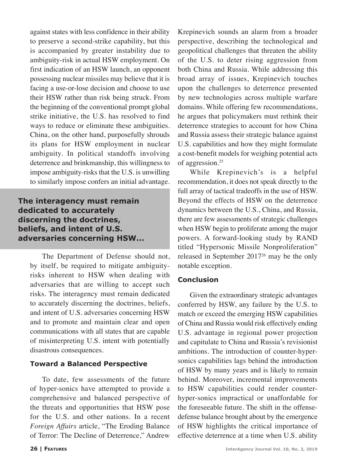against states with less confidence in their ability to preserve a second-strike capability, but this is accompanied by greater instability due to ambiguity-risk in actual HSW employment. On first indication of an HSW launch, an opponent possessing nuclear missiles may believe that it is facing a use-or-lose decision and choose to use their HSW rather than risk being struck. From the beginning of the conventional prompt global strike initiative, the U.S. has resolved to find ways to reduce or eliminate these ambiguities. China, on the other hand, purposefully shrouds its plans for HSW employment in nuclear ambiguity. In political standoffs involving deterrence and brinkmanship, this willingness to impose ambiguity-risks that the U.S. is unwilling to similarly impose confers an initial advantage.

**The interagency must remain dedicated to accurately discerning the doctrines, beliefs, and intent of U.S. adversaries concerning HSW...**

The Department of Defense should not, by itself, be required to mitigate ambiguityrisks inherent to HSW when dealing with adversaries that are willing to accept such risks. The interagency must remain dedicated to accurately discerning the doctrines, beliefs, and intent of U.S. adversaries concerning HSW and to promote and maintain clear and open communications with all states that are capable of misinterpreting U.S. intent with potentially disastrous consequences.

#### **Toward a Balanced Perspective**

To date, few assessments of the future of hyper-sonics have attempted to provide a comprehensive and balanced perspective of the threats and opportunities that HSW pose for the U.S. and other nations. In a recent *Foreign Affairs* article, "The Eroding Balance of Terror: The Decline of Deterrence," Andrew

Krepinevich sounds an alarm from a broader perspective, describing the technological and geopolitical challenges that threaten the ability of the U.S. to deter rising aggression from both China and Russia. While addressing this broad array of issues, Krepinevich touches upon the challenges to deterrence presented by new technologies across multiple warfare domains. While offering few recommendations, he argues that policymakers must rethink their deterrence strategies to account for how China and Russia assess their strategic balance against U.S. capabilities and how they might formulate a cost-benefit models for weighing potential acts of aggression.<sup>25</sup>

While Krepinevich's is a helpful recommendation, it does not speak directly to the full array of tactical tradeoffs in the use of HSW. Beyond the effects of HSW on the deterrence dynamics between the U.S., China, and Russia, there are few assessments of strategic challenges when HSW begin to proliferate among the major powers. A forward-looking study by RAND titled "Hypersonic Missile Nonproliferation" released in September 201726 may be the only notable exception.

#### **Conclusion**

Given the extraordinary strategic advantages conferred by HSW, any failure by the U.S. to match or exceed the emerging HSW capabilities of China and Russia would risk effectively ending U.S. advantage in regional power projection and capitulate to China and Russia's revisionist ambitions. The introduction of counter-hypersonics capabilities lags behind the introduction of HSW by many years and is likely to remain behind. Moreover, incremental improvements to HSW capabilities could render counterhyper-sonics impractical or unaffordable for the foreseeable future. The shift in the offensedefense balance brought about by the emergence of HSW highlights the critical importance of effective deterrence at a time when U.S. ability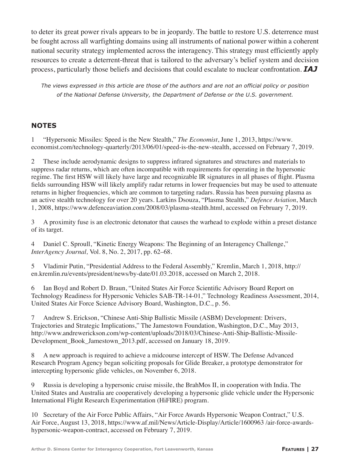to deter its great power rivals appears to be in jeopardy. The battle to restore U.S. deterrence must be fought across all warfighting domains using all instruments of national power within a coherent national security strategy implemented across the interagency. This strategy must efficiently apply resources to create a deterrent-threat that is tailored to the adversary's belief system and decision process, particularly those beliefs and decisions that could escalate to nuclear confrontation. *IAJ*

*The views expressed in this article are those of the authors and are not an official policy or position of the National Defense University, the Department of Defense or the U.S. government.*

### **NOTES**

1 "Hypersonic Missiles: Speed is the New Stealth," *The Economist*, June 1, 2013, https://www. economist.com/technology-quarterly/2013/06/01/speed-is-the-new-stealth, accessed on February 7, 2019.

2 These include aerodynamic designs to suppress infrared signatures and structures and materials to suppress radar returns, which are often incompatible with requirements for operating in the hypersonic regime. The first HSW will likely have large and recognizable IR signatures in all phases of flight. Plasma fields surrounding HSW will likely amplify radar returns in lower frequencies but may be used to attenuate returns in higher frequencies, which are common to targeting radars. Russia has been pursuing plasma as an active stealth technology for over 20 years. Larkins Dsouza, "Plasma Stealth," *Defence Aviation*, March 1, 2008, https://www.defenceaviation.com/2008/03/plasma-stealth.html, accessed on February 7, 2019.

3 A proximity fuse is an electronic detonator that causes the warhead to explode within a preset distance of its target.

4 Daniel C. Sproull, "Kinetic Energy Weapons: The Beginning of an Interagency Challenge," *InterAgency Journal,* Vol. 8, No. 2, 2017, pp. 62–68.

5 Vladimir Putin, "Presidential Address to the Federal Assembly," Kremlin, March 1, 2018, http:// en.kremlin.ru/events/president/news/by-date/01.03.2018, accessed on March 2, 2018.

6 Ian Boyd and Robert D. Braun, "United States Air Force Scientific Advisory Board Report on Technology Readiness for Hypersonic Vehicles SAB-TR-14-01," Technology Readiness Assessment, 2014, United States Air Force Science Advisory Board, Washington, D.C., p. 56.

7 Andrew S. Erickson, "Chinese Anti-Ship Ballistic Missile (ASBM) Development: Drivers, Trajectories and Strategic Implications," The Jamestown Foundation, Washington, D.C., May 2013, http://www.andrewerickson.com/wp-content/uploads/2018/03/Chinese-Anti-Ship-Ballistic-Missile-Development\_Book\_Jamestown\_2013.pdf, accessed on January 18, 2019.

8 A new approach is required to achieve a midcourse intercept of HSW. The Defense Advanced Research Program Agency began soliciting proposals for Glide Breaker, a prototype demonstrator for intercepting hypersonic glide vehicles, on November 6, 2018.

9 Russia is developing a hypersonic cruise missile, the BrahMos II, in cooperation with India. The United States and Australia are cooperatively developing a hypersonic glide vehicle under the Hypersonic International Flight Research Experimentation (HiFIRE) program.

10 Secretary of the Air Force Public Affairs, "Air Force Awards Hypersonic Weapon Contract," U.S. Air Force, August 13, 2018, https://www.af.mil/News/Article-Display/Article/1600963 /air-force-awardshypersonic-weapon-contract, accessed on February 7, 2019.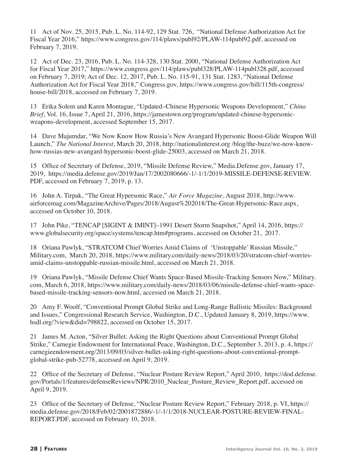11 Act of Nov. 25, 2015, Pub. L. No. 114-92, 129 Stat. 726, "National Defense Authorization Act for Fiscal Year 2016," https://www.congress.gov/114/plaws/publ92/PLAW-114publ92.pdf, accessed on February 7, 2019.

12 Act of Dec. 23, 2016, Pub. L. No. 114-328, 130 Stat. 2000, "National Defense Authorization Act for Fiscal Year 2017," https://www.congress.gov/114/plaws/publ328/PLAW-114publ328.pdf, accessed on February 7, 2019; Act of Dec. 12, 2017, Pub. L. No. 115-91, 131 Stat. 1283, "National Defense Authorization Act for Fiscal Year 2018," Congress.gov, https://www.congress.gov/bill/115th-congress/ house-bill/2018, accessed on February 7, 2019.

13 Erika Solem and Karen Montague, "Updated–Chinese Hypersonic Weapons Development," *China Brief*, Vol. 16, Issue 7, April 21, 2016, https://jamestown.org/program/updated-chinese-hypersonicweapons-development, accessed September 15, 2017.

14 Dave Majumdar, "We Now Know How Russia's New Avangard Hypersonic Boost-Glide Weapon Will Launch," *The National Interest*, March 20, 2018, http://nationalinterest.org /blog/the-buzz/we-now-knowhow-russias-new-avangard-hypersonic-boost-glide-25003, accessed on March 21, 2018.

15 Office of Secretary of Defense, 2019, "Missile Defense Review," Media.Defense.gov, January 17, 2019, https://media.defense.gov/2019/Jan/17/2002080666/-1/-1/1/2019-MISSILE-DEFENSE-REVIEW. PDF, accessed on February 7, 2019, p. 13.

16 John A. Tirpak, "The Great Hypersonic Race," *Air Force Magazine*, August 2018, http://www. airforcemag.com/MagazineArchive/Pages/2018/August%202018/The-Great-Hypersonic-Race.aspx, accessed on October 10, 2018.

17 John Pike, "TENCAP [SIGINT & IMINT]–1991 Desert Storm Snapshot," April 14, 2016, https:// www.globalsecurity.org/space/systems/tencap.htm#programs, accessed on October 21, 2017.

18 Oriana Pawlyk, "STRATCOM Chief Worries Amid Claims of 'Unstoppable' Russian Missile," Military.com, March 20, 2018, https://www.military.com/daily-news/2018/03/20/stratcom-chief-worriesamid-claims-unstoppable-russian-missile.html, accessed on March 21, 2018.

19 Oriana Pawlyk, "Missile Defense Chief Wants Space-Based Missile-Tracking Sensors Now," Military. com, March 6, 2018, https://www.military.com/daily-news/2018/03/06/missile-defense-chief-wants-spacebased-missile-tracking-sensors-now.html, accessed on March 21, 2018.

20 Amy F. Woolf, "Conventional Prompt Global Strike and Long-Range Ballistic Missiles: Background and Issues," Congressional Research Service, Washington, D.C., Updated January 8, 2019, https://www. hsdl.org/?view&did=798822, accessed on October 15, 2017.

21 James M. Acton, "Silver Bullet: Asking the Right Questions about Conventional Prompt Global Strike," Carnegie Endowment for International Peace, Washington, D.C., September 3, 2013, p. 4, https:// carnegieendowment.org/2013/09/03/silver-bullet-asking-right-questions-about-conventional-promptglobal-strike-pub-52778, accessed on April 9, 2019.

22 Office of the Secretary of Defense, "Nuclear Posture Review Report," April 2010, https://dod.defense. gov/Portals/1/features/defenseReviews/NPR/2010\_Nuclear\_Posture\_Review\_Report.pdf, accessed on April 9, 2019.

23 Office of the Secretary of Defense, "Nuclear Posture Review Report," February 2018, p. VI, https:// media.defense.gov/2018/Feb/02/2001872886/-1/-1/1/2018-NUCLEAR-POSTURE-REVIEW-FINAL-REPORT.PDF, accessed on February 10, 2018.